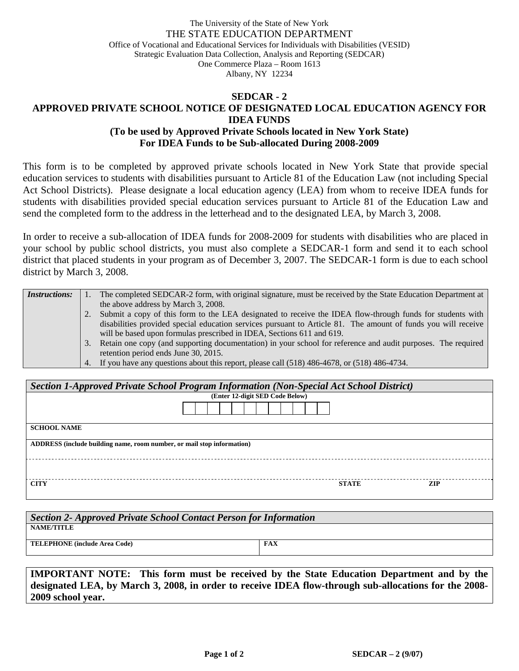## The University of the State of New York THE STATE EDUCATION DEPARTMENT Office of Vocational and Educational Services for Individuals with Disabilities (VESID) Strategic Evaluation Data Collection, Analysis and Reporting (SEDCAR) One Commerce Plaza – Room 1613 Albany, NY 12234

## **SEDCAR - 2 APPROVED PRIVATE SCHOOL NOTICE OF DESIGNATED LOCAL EDUCATION AGENCY FOR IDEA FUNDS (To be used by Approved Private Schools located in New York State) For IDEA Funds to be Sub-allocated During 2008-2009**

This form is to be completed by approved private schools located in New York State that provide special education services to students with disabilities pursuant to Article 81 of the Education Law (not including Special Act School Districts). Please designate a local education agency (LEA) from whom to receive IDEA funds for students with disabilities provided special education services pursuant to Article 81 of the Education Law and send the completed form to the address in the letterhead and to the designated LEA, by March 3, 2008.

In order to receive a sub-allocation of IDEA funds for 2008-2009 for students with disabilities who are placed in your school by public school districts, you must also complete a SEDCAR-1 form and send it to each school district that placed students in your program as of December 3, 2007. The SEDCAR-1 form is due to each school district by March 3, 2008.

| <i>Instructions:</i> |    | The completed SEDCAR-2 form, with original signature, must be received by the State Education Department at   |
|----------------------|----|---------------------------------------------------------------------------------------------------------------|
|                      |    | the above address by March 3, 2008.                                                                           |
|                      |    | Submit a copy of this form to the LEA designated to receive the IDEA flow-through funds for students with     |
|                      |    | disabilities provided special education services pursuant to Article 81. The amount of funds you will receive |
|                      |    | will be based upon formulas prescribed in IDEA, Sections 611 and 619.                                         |
|                      | 3. | Retain one copy (and supporting documentation) in your school for reference and audit purposes. The required  |
|                      |    | retention period ends June 30, 2015.                                                                          |
|                      |    | 4. If you have any questions about this report, please call (518) 486-4678, or (518) 486-4734.                |

| Section 1-Approved Private School Program Information (Non-Special Act School District) |                                 |  |  |  |  |  |  |  |
|-----------------------------------------------------------------------------------------|---------------------------------|--|--|--|--|--|--|--|
|                                                                                         | (Enter 12-digit SED Code Below) |  |  |  |  |  |  |  |
|                                                                                         |                                 |  |  |  |  |  |  |  |
| <b>SCHOOL NAME</b>                                                                      |                                 |  |  |  |  |  |  |  |
| ADDRESS (include building name, room number, or mail stop information)                  |                                 |  |  |  |  |  |  |  |
|                                                                                         |                                 |  |  |  |  |  |  |  |
| <b>CITY</b>                                                                             | <b>STATE</b><br><b>ZIP</b>      |  |  |  |  |  |  |  |

| Section 2- Approved Private School Contact Person for Information |     |  |  |  |  |  |
|-------------------------------------------------------------------|-----|--|--|--|--|--|
| <b>NAME/TITLE</b>                                                 |     |  |  |  |  |  |
| <b>TELEPHONE</b> (include Area Code)                              | FAX |  |  |  |  |  |
|                                                                   |     |  |  |  |  |  |

**IMPORTANT NOTE: This form must be received by the State Education Department and by the designated LEA, by March 3, 2008, in order to receive IDEA flow-through sub-allocations for the 2008- 2009 school year.**